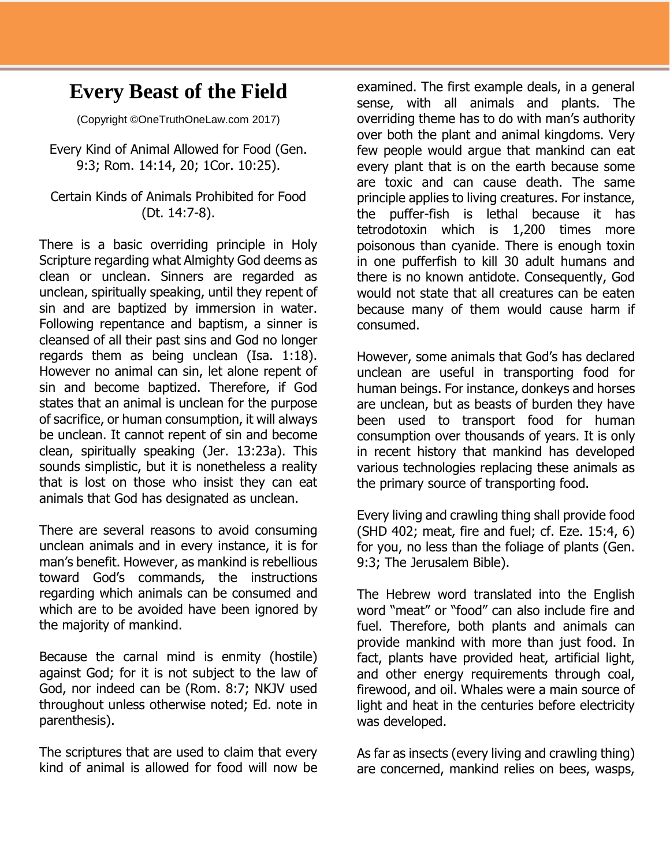## **Every Beast of the Field**

(Copyright ©OneTruthOneLaw.com 2017)

Every Kind of Animal Allowed for Food (Gen. 9:3; Rom. 14:14, 20; 1Cor. 10:25).

## Certain Kinds of Animals Prohibited for Food (Dt. 14:7-8).

There is a basic overriding principle in Holy Scripture regarding what Almighty God deems as clean or unclean. Sinners are regarded as unclean, spiritually speaking, until they repent of sin and are baptized by immersion in water. Following repentance and baptism, a sinner is cleansed of all their past sins and God no longer regards them as being unclean (Isa. 1:18). However no animal can sin, let alone repent of sin and become baptized. Therefore, if God states that an animal is unclean for the purpose of sacrifice, or human consumption, it will always be unclean. It cannot repent of sin and become clean, spiritually speaking (Jer. 13:23a). This sounds simplistic, but it is nonetheless a reality that is lost on those who insist they can eat animals that God has designated as unclean.

There are several reasons to avoid consuming unclean animals and in every instance, it is for man's benefit. However, as mankind is rebellious toward God's commands, the instructions regarding which animals can be consumed and which are to be avoided have been ignored by the majority of mankind.

Because the carnal mind is enmity (hostile) against God; for it is not subject to the law of God, nor indeed can be (Rom. 8:7; NKJV used throughout unless otherwise noted; Ed. note in parenthesis).

The scriptures that are used to claim that every kind of animal is allowed for food will now be examined. The first example deals, in a general sense, with all animals and plants. The overriding theme has to do with man's authority over both the plant and animal kingdoms. Very few people would argue that mankind can eat every plant that is on the earth because some are toxic and can cause death. The same principle applies to living creatures. For instance, the puffer-fish is lethal because it has tetrodotoxin which is 1,200 times more poisonous than cyanide. There is enough toxin in one pufferfish to kill 30 adult humans and there is no known antidote. Consequently, God would not state that all creatures can be eaten because many of them would cause harm if consumed.

However, some animals that God's has declared unclean are useful in transporting food for human beings. For instance, donkeys and horses are unclean, but as beasts of burden they have been used to transport food for human consumption over thousands of years. It is only in recent history that mankind has developed various technologies replacing these animals as the primary source of transporting food.

Every living and crawling thing shall provide food (SHD 402; meat, fire and fuel; cf. Eze. 15:4, 6) for you, no less than the foliage of plants (Gen. 9:3; The Jerusalem Bible).

The Hebrew word translated into the English word "meat" or "food" can also include fire and fuel. Therefore, both plants and animals can provide mankind with more than just food. In fact, plants have provided heat, artificial light, and other energy requirements through coal, firewood, and oil. Whales were a main source of light and heat in the centuries before electricity was developed.

As far as insects (every living and crawling thing) are concerned, mankind relies on bees, wasps,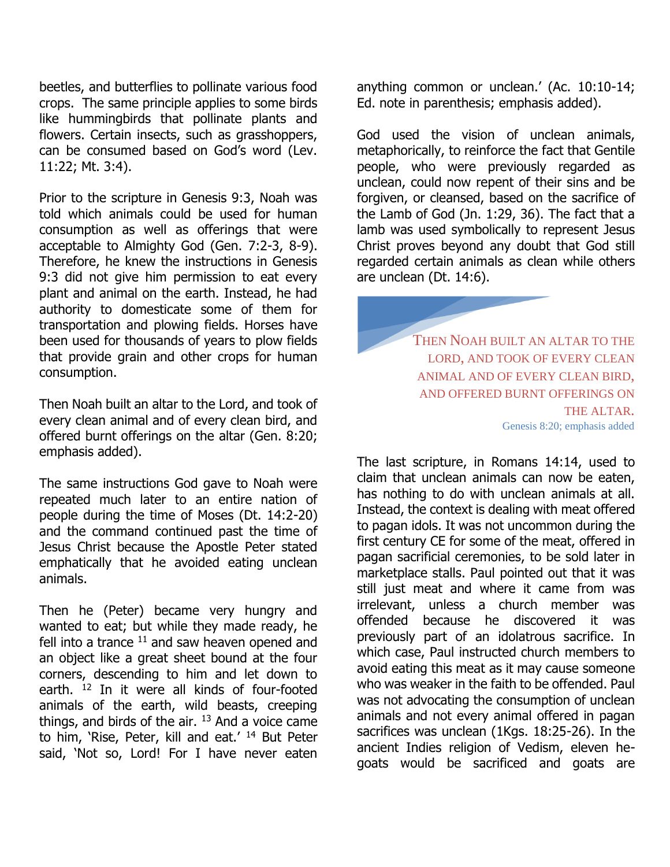beetles, and butterflies to pollinate various food crops. The same principle applies to some birds like hummingbirds that pollinate plants and flowers. Certain insects, such as grasshoppers, can be consumed based on God's word (Lev. 11:22; Mt. 3:4).

Prior to the scripture in Genesis 9:3, Noah was told which animals could be used for human consumption as well as offerings that were acceptable to Almighty God (Gen. 7:2-3, 8-9). Therefore, he knew the instructions in Genesis 9:3 did not give him permission to eat every plant and animal on the earth. Instead, he had authority to domesticate some of them for transportation and plowing fields. Horses have been used for thousands of years to plow fields that provide grain and other crops for human consumption.

Then Noah built an altar to the Lord, and took of every clean animal and of every clean bird, and offered burnt offerings on the altar (Gen. 8:20; emphasis added).

The same instructions God gave to Noah were repeated much later to an entire nation of people during the time of Moses (Dt. 14:2-20) and the command continued past the time of Jesus Christ because the Apostle Peter stated emphatically that he avoided eating unclean animals.

Then he (Peter) became very hungry and wanted to eat; but while they made ready, he fell into a trance  $11$  and saw heaven opened and an object like a great sheet bound at the four corners, descending to him and let down to earth. <sup>12</sup> In it were all kinds of four-footed animals of the earth, wild beasts, creeping things, and birds of the air.  $13$  And a voice came to him, 'Rise, Peter, kill and eat.' <sup>14</sup> But Peter said, 'Not so, Lord! For I have never eaten

anything common or unclean.' (Ac. 10:10-14; Ed. note in parenthesis; emphasis added).

God used the vision of unclean animals, metaphorically, to reinforce the fact that Gentile people, who were previously regarded as unclean, could now repent of their sins and be forgiven, or cleansed, based on the sacrifice of the Lamb of God (Jn. 1:29, 36). The fact that a lamb was used symbolically to represent Jesus Christ proves beyond any doubt that God still regarded certain animals as clean while others are unclean (Dt. 14:6).

> THEN NOAH BUILT AN ALTAR TO THE LORD, AND TOOK OF EVERY CLEAN ANIMAL AND OF EVERY CLEAN BIRD, AND OFFERED BURNT OFFERINGS ON THE ALTAR. Genesis 8:20; emphasis added

The last scripture, in Romans 14:14, used to claim that unclean animals can now be eaten, has nothing to do with unclean animals at all. Instead, the context is dealing with meat offered to pagan idols. It was not uncommon during the first century CE for some of the meat, offered in pagan sacrificial ceremonies, to be sold later in marketplace stalls. Paul pointed out that it was still just meat and where it came from was irrelevant, unless a church member was offended because he discovered it was previously part of an idolatrous sacrifice. In which case, Paul instructed church members to avoid eating this meat as it may cause someone who was weaker in the faith to be offended. Paul was not advocating the consumption of unclean animals and not every animal offered in pagan sacrifices was unclean (1Kgs. 18:25-26). In the ancient Indies religion of Vedism, eleven hegoats would be sacrificed and goats are